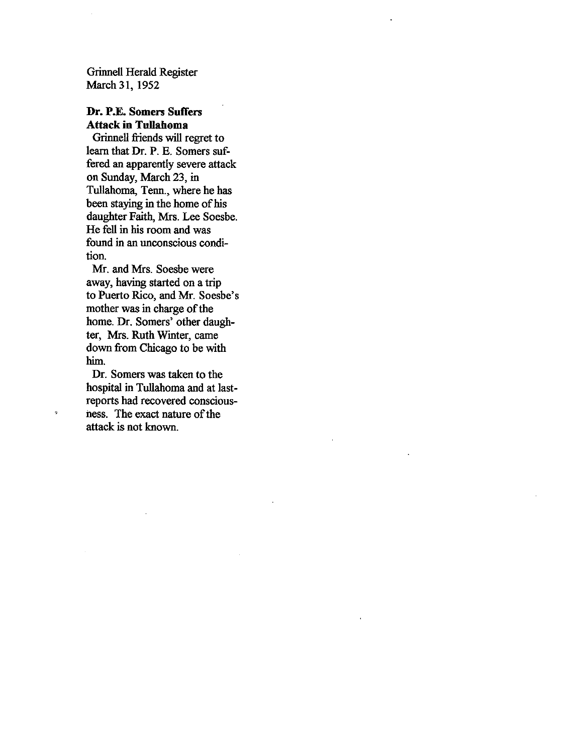Grinnell Herald Register March 31, 1952

## Dr. P.E. Somers Suffers Attack in Tullahoma

Grinnell friends will regret to learn that Dr. P. E. Somers suf fered an apparently severe attack on Sunday, March 23, in Tullahoma, Tenn., where he has been staying in the home of his daughter Faith, Mrs. Lee Soesbe. He fell in his room and was found in an unconscious condi tion.

Mr. and Mrs. Soesbe were away, having started on a trip to Puerto Rico, and Mr. Soesbe's mother was in charge of the home. Dr. Somers' other daugh ter, Mrs. Ruth Winter, came down from Chicago to be with him.

Dr. Somers was taken to the hospital in Tullahoma and at lastreports had recovered conscious ness. The exact nature of the attack is not known.

ż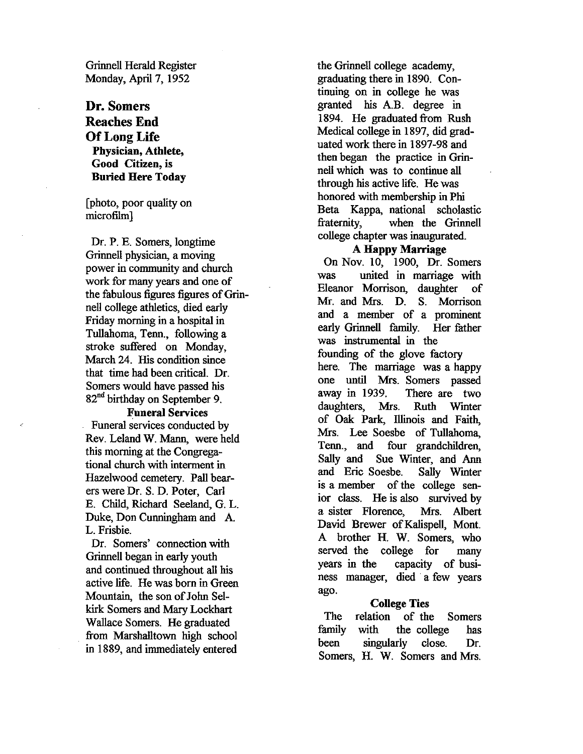Grinnell Herald Register Monday, April 7, 1952

# Dr. Somers Reaches End Of Long Life Physician, Athlete, Good Citizen, is Buried Here Today

[photo, poor quality on microfilm)

Dr. P. B. Somers, longtime Grinnell physician, a moving power in community and church work for many years and one of the fabulous figures figures of Grinnell college athletics, died early Friday morning in a hospital in Tullahoma, Tenn., following a stroke suffered on Monday, March 24. His condition since that time had been critical. Dr. Somers would have passed his 82<sup>nd</sup> birthday on September 9.

#### Funeral Services

Funeral services conducted by Rev. Leland W. Mann, were held this morning at the Congrega tional church with interment in Hazelwood cemetery. Pall bear ers were Dr. S. D. Poter, Carl F. Child, Richard Seeland, 0. L. Duke, Don Cunningham and A. L. Frisbie.

Dr. Somers' connection with Grinnell began in early youth and continued throughout all his active life. He was born in Green Mountain, the son of John Sel kirk Somers and Mary Lockhart Wallace Somers. He graduated from Marshailtown high school in 1889, and immediately entered

the Grinnell college academy, graduating there in 1890. Con tinuing on in college he was granted his A.B. degree in 1894. He graduated from Rush Medical college in 1897, did grad uated work there in 1897-98 and then began the practice in Grin nell which was to continue all through his active life. He was honored with membership in Phi Beta Kappa, national scholastic fraternity, when the Grinnell college chapter was inaugurated.

#### A Happy Marriage

On Nov. 10, 1900, Dr. Somers was united in marriage with Eleanor Morrison, daughter of Mr. and Mrs. D. S. Morrison and a member of a prominent early Grinnell family. Her father was instrumental in the

founding of the glove factory here. The marriage was a happy one until Mrs. Somers passed away in 1939, There are two daughters, Mrs. Ruth Winter of Oak Park, Illinois and Faith, Mrs. Lee Soesbe of Tullahoma, Tenn., and four grandchildren, Sally and Sue Winter, and Ann and Eric Soesbe. Sally Winter is <sup>a</sup> member of the college sen ior class. He is also survived by a sister Florence, Mrs. Albert David Brewer of Kalispell, Mont. A brother H. W. Somers, who served the college for many years in the capacity of busi ness manager, died a few years ago.

#### **College Ties**

relation of the Somers with the college has singularly close. Dr. Somers, H. W. Somers and Mrs. The family been